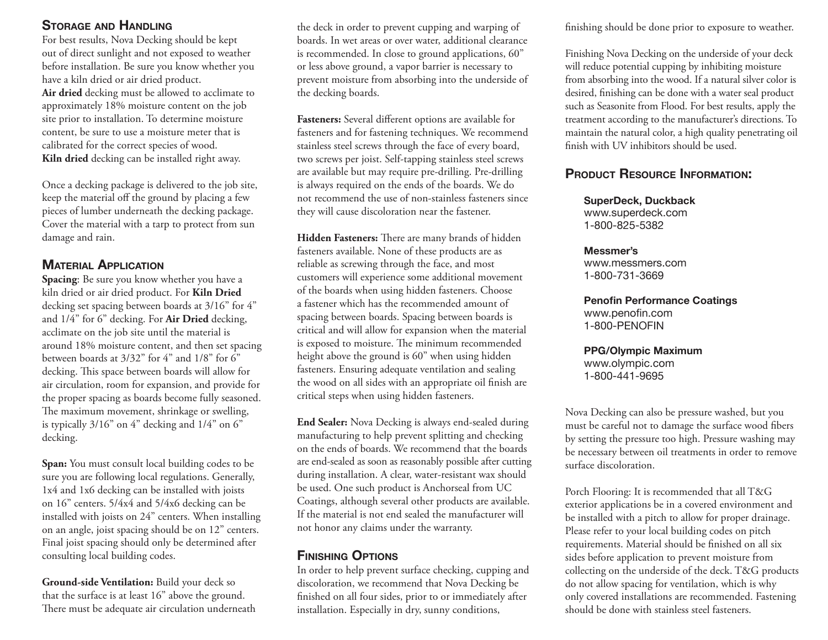#### **STORAGE AND HANDLING**

For best results, Nova Decking should be kept out of direct sunlight and not exposed to weather before installation. Be sure you know whether you have a kiln dried or air dried product. **Air dried** decking must be allowed to acclimate to approximately 18% moisture content on the job site prior to installation. To determine moisture content, be sure to use a moisture meter that is calibrated for the correct species of wood. **Kiln dried** decking can be installed right away.

Once a decking package is delivered to the job site, keep the material off the ground by placing a few <sup>p</sup>ieces of lumber underneath the decking package. Cover the material with a tarp to protect from sun damage and rain.

### **MATERIAL APPLICATION**

**Spacing**: Be sure you know whether you have a kiln dried or air dried product. For **Kiln Dried** decking set spacing between boards at 3/16" for 4" and 1/4" for 6" decking. For **Air Dried** decking, acclimate on the job site until the material is around 18% moisture content, and then set spacing between boards at 3/32" for 4" and 1/8" for 6" decking. This space between boards will allow for air circulation, room for expansion, and provide for the proper spacing as boards become fully seasoned. The maximum movement, shrinkage or swelling, is typically 3/16" on 4" decking and 1/4" on 6" decking.

**Span:** You must consult local building codes to be sure you are following local regulations. Generally, 1x4 and 1x6 decking can be installed with joists on 16" centers. 5/4x4 and 5/4x6 decking can be installed with joists on 24" centers. When installing on an angle, joist spacing should be on 12" centers. Final joist spacing should only be determined after consulting local building codes.

**Ground-side Ventilation:** Build your deck so that the surface is at least 16" above the ground. There must be adequate air circulation underneath

the deck in order to prevent cupping and warping of boards. In wet areas or over water, additional clearance is recommended. In close to ground applications, 60" or less above ground, a vapor barrier is necessary to prevent moisture from absorbing into the underside of the decking boards.

Fasteners: Several different options are available for fasteners and for fastening techniques. We recommend stainless steel screws through the face of every board, two screws per joist. Self-tapping stainless steel screws are available but may require pre-drilling. Pre-drilling is always required on the ends of the boards. We do not recommend the use of non-stainless fasteners since they will cause discoloration near the fastener.

Hidden Fasteners: There are many brands of hidden fasteners available. None of these products are as reliable as screwing through the face, and most customers will experience some additional movement of the boards when using hidden fasteners. Choose a fastener which has the recommended amount of spacing between boards. Spacing between boards is critical and will allow for expansion when the material is exposed to moisture. The minimum recommended height above the ground is 60" when using hidden fasteners. Ensuring adequate ventilation and sealing the wood on all sides with an appropriate oil finish are critical steps when using hidden fasteners.

**End Sealer:** Nova Decking is always end-sealed during manufacturing to help prevent splitting and checking on the ends of boards. We recommend that the boards are end-sealed as soon as reasonably possible after cutting during installation. A clear, water-resistant wax should be used. One such product is Anchorseal from UC Coatings, although several other products are available. If the material is not end sealed the manufacturer will not honor any claims under the warranty.

## **FINISHING OPTIONS**

In order to help prevent surface checking, cupping and discoloration, we recommend that Nova Decking be finished on all four sides, prior to or immediately after installation. Especially in dry, sunny conditions,

finishing should be done prior to exposure to weather.

Finishing Nova Decking on the underside of your deck will reduce potential cupping by inhibiting moisture from absorbing into the wood. If a natural silver color is desired, finishing can be done with a water seal product such as Seasonite from Flood. For best results, apply the treatment according to the manufacturer's directions. To maintain the natural color, a high quality penetrating oil finish with UV inhibitors should be used.

## **PRODUCT RESOURCE INFORMATION:**

#### **SuperDeck, Duckback**

www.superdeck.com 1-800-825-5382

#### **Messmer's**

www.messmers.com1-800-731-3669

#### **Peno fi n Performance Coatings** www.penofin.com

1-800-PENOFIN

#### **PPG/Olympic Maximum**

www.olympic.com 1-800-441-9695

Nova Decking can also be pressure washed, but you must be careful not to damage the surface wood fibers by setting the pressure too high. Pressure washing may be necessary between oil treatments in order to remove surface discoloration.

Porch Flooring: It is recommended that all T&G exterior applications be in a covered environment and be installed with a pitch to allow for proper drainage. Please refer to your local building codes on pitch requirements. Material should be finished on all six sides before application to prevent moisture from collecting on the underside of the deck. T&G products do not allow spacing for ventilation, which is why only covered installations are recommended. Fastening should be done with stainless steel fasteners.